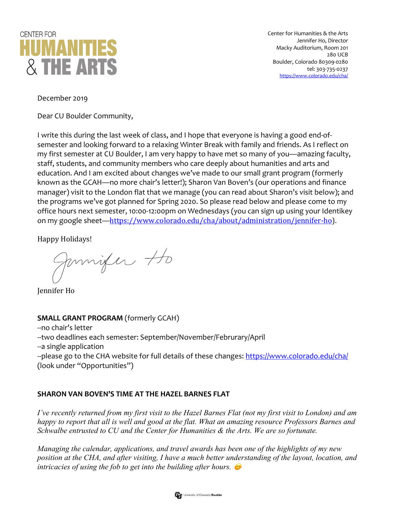

Center for Humanities & the Arts Jennifer Ho, Director Macky Auditorium, Room 201 280 UCB Boulder, Colorado 80309-0280 tel: 303-735-0237 https://www.colorado.edu/cha/

December 2019

Dear CU Boulder Community,

I write this during the last week of class, and I hope that everyone is having a good end-ofsemester and looking forward to a relaxing Winter Break with family and friends. As I reflect on my first semester at CU Boulder, I am very happy to have met so many of you—amazing faculty, staff, students, and community members who care deeply about humanities and arts and education. And I am excited about changes we've made to our small grant program (formerly known as the GCAH—no more chair's letter!); Sharon Van Boven's (our operations and finance manager) visit to the London flat that we manage (you can read about Sharon's visit below); and the programs we've got planned for Spring 2020. So please read below and please come to my office hours next semester, 10:00-12:00pm on Wednesdays (you can sign up using your Identikey on my google sheet—https://www.colorado.edu/cha/about/administration/jennifer-ho).

Happy Holidays!

Jamifer to

Jennifer Ho

## **SMALL GRANT PROGRAM** (formerly GCAH)

--no chair's letter --two deadlines each semester: September/November/Februrary/April --a single application --please go to the CHA website for full details of these changes: https://www.colorado.edu/cha/ (look under "Opportunities")

## **SHARON VAN BOVEN'S TIME AT THE HAZEL BARNES FLAT**

*I've recently returned from my first visit to the Hazel Barnes Flat (not my first visit to London) and am happy to report that all is well and good at the flat. What an amazing resource Professors Barnes and Schwalbe entrusted to CU and the Center for Humanities & the Arts. We are so fortunate.*

*Managing the calendar, applications, and travel awards has been one of the highlights of my new position at the CHA, and after visiting, I have a much better understanding of the layout, location, and intricacies of using the fob to get into the building after hours.*